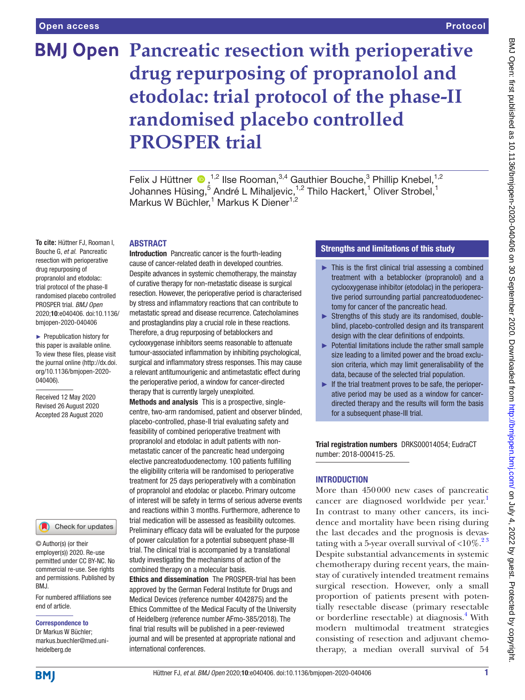# **BMJ Open Pancreatic resection with perioperative drug repurposing of propranolol and etodolac: trial protocol of the phase-II randomised placebo controlled PROSPER trial**

FelixJ Hüttner  $\bigcirc$ ,<sup>1,2</sup> Ilse Rooman,<sup>3,4</sup> Gauthier Bouche,<sup>3</sup> Phillip Knebel,<sup>1,2</sup> Johannes Hüsing,<sup>5</sup> André L Mihaljevic,<sup>1,2</sup> Thilo Hackert,<sup>1</sup> Oliver Strobel,<sup>1</sup> Markus W Büchler,<sup>1</sup> Markus K Diener<sup>1,2</sup>

## ABSTRACT

**To cite:** Hüttner FJ, Rooman I, Bouche G, *et al*. Pancreatic resection with perioperative drug repurposing of propranolol and etodolac: trial protocol of the phase-II randomised placebo controlled PROSPER trial. *BMJ Open* 2020;10:e040406. doi:10.1136/ bmjopen-2020-040406

► Prepublication history for this paper is available online. To view these files, please visit the journal online (http://dx.doi. org/10.1136/bmjopen-2020- 040406).

Received 12 May 2020 Revised 26 August 2020 Accepted 28 August 2020

Check for updates

© Author(s) (or their employer(s)) 2020. Re-use permitted under CC BY-NC. No commercial re-use. See rights and permissions. Published by BMJ.

For numbered affiliations see end of article.

#### Correspondence to

Dr Markus W Büchler; markus.buechler@med.uniheidelberg.de

Introduction Pancreatic cancer is the fourth-leading cause of cancer-related death in developed countries. Despite advances in systemic chemotherapy, the mainstay of curative therapy for non-metastatic disease is surgical resection. However, the perioperative period is characterised by stress and inflammatory reactions that can contribute to metastatic spread and disease recurrence. Catecholamines and prostaglandins play a crucial role in these reactions. Therefore, a drug repurposing of betablockers and cyclooxygenase inhibitors seems reasonable to attenuate tumour-associated inflammation by inhibiting psychological, surgical and inflammatory stress responses. This may cause a relevant antitumourigenic and antimetastatic effect during the perioperative period, a window for cancer-directed therapy that is currently largely unexploited. Methods and analysis This is a prospective, single-

centre, two-arm randomised, patient and observer blinded, placebo-controlled, phase-II trial evaluating safety and feasibility of combined perioperative treatment with propranolol and etodolac in adult patients with nonmetastatic cancer of the pancreatic head undergoing elective pancreatoduodenectomy. 100 patients fulfilling the eligibility criteria will be randomised to perioperative treatment for 25 days perioperatively with a combination of propranolol and etodolac or placebo. Primary outcome of interest will be safety in terms of serious adverse events and reactions within 3 months. Furthermore, adherence to trial medication will be assessed as feasibility outcomes. Preliminary efficacy data will be evaluated for the purpose of power calculation for a potential subsequent phase-III trial. The clinical trial is accompanied by a translational study investigating the mechanisms of action of the combined therapy on a molecular basis.

Ethics and dissemination The PROSPER-trial has been approved by the German Federal Institute for Drugs and Medical Devices (reference number 4042875) and the Ethics Committee of the Medical Faculty of the University of Heidelberg (reference number AFmo-385/2018). The final trial results will be published in a peer-reviewed journal and will be presented at appropriate national and international conferences.

## Strengths and limitations of this study

- ► This is the first clinical trial assessing a combined treatment with a betablocker (propranolol) and a cyclooxygenase inhibitor (etodolac) in the perioperative period surrounding partial pancreatoduodenectomy for cancer of the pancreatic head.
- ► Strengths of this study are its randomised, doubleblind, placebo-controlled design and its transparent design with the clear definitions of endpoints.
- ► Potential limitations include the rather small sample size leading to a limited power and the broad exclusion criteria, which may limit generalisability of the data, because of the selected trial population.
- $\blacktriangleright$  If the trial treatment proves to be safe, the perioperative period may be used as a window for cancerdirected therapy and the results will form the basis for a subsequent phase-III trial.

Trial registration numbers DRKS00014054; EudraCT number: 2018-000415-25.

## **INTRODUCTION**

More than 450000 new cases of pancreatic cancer are diagnosed worldwide per year.<sup>[1](#page-8-0)</sup> In contrast to many other cancers, its incidence and mortality have been rising during the last decades and the prognosis is devastating with a 5-year overall survival of  $<$ 10%.<sup>23</sup> Despite substantial advancements in systemic chemotherapy during recent years, the mainstay of curatively intended treatment remains surgical resection. However, only a small proportion of patients present with potentially resectable disease (primary resectable or borderline resectable) at diagnosis.<sup>[4](#page-8-2)</sup> With modern multimodal treatment strategies consisting of resection and adjuvant chemotherapy, a median overall survival of 54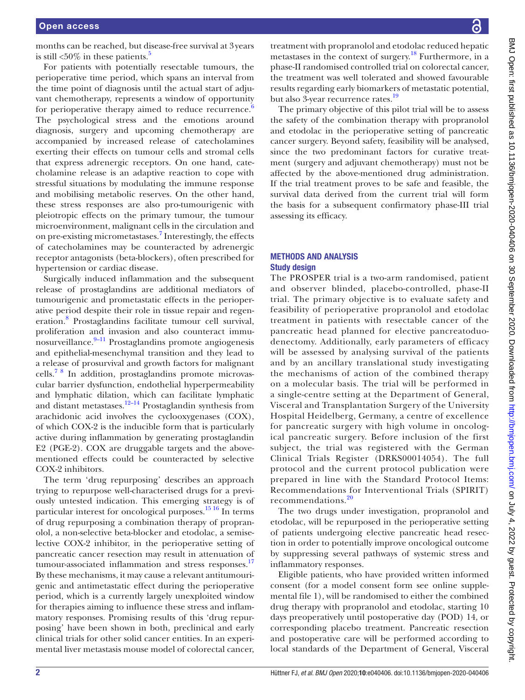months can be reached, but disease-free survival at 3years is still  $<50\%$  in these patients.<sup>5</sup>

For patients with potentially resectable tumours, the perioperative time period, which spans an interval from the time point of diagnosis until the actual start of adjuvant chemotherapy, represents a window of opportunity for perioperative therapy aimed to reduce recurrence.<sup>[6](#page-8-4)</sup> The psychological stress and the emotions around diagnosis, surgery and upcoming chemotherapy are accompanied by increased release of catecholamines exerting their effects on tumour cells and stromal cells that express adrenergic receptors. On one hand, catecholamine release is an adaptive reaction to cope with stressful situations by modulating the immune response and mobilising metabolic reserves. On the other hand, these stress responses are also pro-tumourigenic with pleiotropic effects on the primary tumour, the tumour microenvironment, malignant cells in the circulation and on pre-existing micrometastases.<sup>[7](#page-8-5)</sup> Interestingly, the effects of catecholamines may be counteracted by adrenergic receptor antagonists (beta-blockers), often prescribed for hypertension or cardiac disease.

Surgically induced inflammation and the subsequent release of prostaglandins are additional mediators of tumourigenic and prometastatic effects in the perioperative period despite their role in tissue repair and regeneration.[8](#page-8-6) Prostaglandins facilitate tumour cell survival, proliferation and invasion and also counteract immu- $\frac{1}{2}$ nosurveillance.<sup>[9–11](#page-8-7)</sup> Prostaglandins promote angiogenesis and epithelial-mesenchymal transition and they lead to a release of prosurvival and growth factors for malignant cells.[7 8](#page-8-5) In addition, prostaglandins promote microvascular barrier dysfunction, endothelial hyperpermeability and lymphatic dilation, which can facilitate lymphatic and distant metastases.<sup>12–14</sup> Prostaglandin synthesis from arachidonic acid involves the cyclooxygenases (COX), of which COX-2 is the inducible form that is particularly active during inflammation by generating prostaglandin E2 (PGE-2). COX are druggable targets and the abovementioned effects could be counteracted by selective COX-2 inhibitors.

The term 'drug repurposing' describes an approach trying to repurpose well-characterised drugs for a previously untested indication. This emerging strategy is of particular interest for oncological purposes.[15 16](#page-8-9) In terms of drug repurposing a combination therapy of propranolol, a non-selective beta-blocker and etodolac, a semiselective COX-2 inhibitor, in the perioperative setting of pancreatic cancer resection may result in attenuation of tumour-associated inflammation and stress responses.<sup>[17](#page-8-10)</sup> By these mechanisms, it may cause a relevant antitumourigenic and antimetastatic effect during the perioperative period, which is a currently largely unexploited window for therapies aiming to influence these stress and inflammatory responses. Promising results of this 'drug repurposing' have been shown in both, preclinical and early clinical trials for other solid cancer entities. In an experimental liver metastasis mouse model of colorectal cancer,

treatment with propranolol and etodolac reduced hepatic metastases in the context of surgery.<sup>18</sup> Furthermore, in a phase-II randomised controlled trial on colorectal cancer, the treatment was well tolerated and showed favourable results regarding early biomarkers of metastatic potential, but also 3-year recurrence rates.<sup>19</sup>

The primary objective of this pilot trial will be to assess the safety of the combination therapy with propranolol and etodolac in the perioperative setting of pancreatic cancer surgery. Beyond safety, feasibility will be analysed, since the two predominant factors for curative treatment (surgery and adjuvant chemotherapy) must not be affected by the above-mentioned drug administration. If the trial treatment proves to be safe and feasible, the survival data derived from the current trial will form the basis for a subsequent confirmatory phase-III trial assessing its efficacy.

## METHODS AND ANALYSIS Study design

The PROSPER trial is a two-arm randomised, patient and observer blinded, placebo-controlled, phase-II trial. The primary objective is to evaluate safety and feasibility of perioperative propranolol and etodolac treatment in patients with resectable cancer of the pancreatic head planned for elective pancreatoduodenectomy. Additionally, early parameters of efficacy will be assessed by analysing survival of the patients and by an ancillary translational study investigating the mechanisms of action of the combined therapy on a molecular basis. The trial will be performed in a single-centre setting at the Department of General, Visceral and Transplantation Surgery of the University Hospital Heidelberg, Germany, a centre of excellence for pancreatic surgery with high volume in oncological pancreatic surgery. Before inclusion of the first subject, the trial was registered with the German Clinical Trials Register (DRKS00014054). The full protocol and the current protocol publication were prepared in line with the Standard Protocol Items: Recommendations for Interventional Trials (SPIRIT) recommendations.[20](#page-8-13)

The two drugs under investigation, propranolol and etodolac, will be repurposed in the perioperative setting of patients undergoing elective pancreatic head resection in order to potentially improve oncological outcome by suppressing several pathways of systemic stress and inflammatory responses.

Eligible patients, who have provided written informed consent (for a model consent form see [online supple](https://dx.doi.org/10.1136/bmjopen-2020-040406)[mental file 1\)](https://dx.doi.org/10.1136/bmjopen-2020-040406), will be randomised to either the combined drug therapy with propranolol and etodolac, starting 10 days preoperatively until postoperative day (POD) 14, or corresponding placebo treatment. Pancreatic resection and postoperative care will be performed according to local standards of the Department of General, Visceral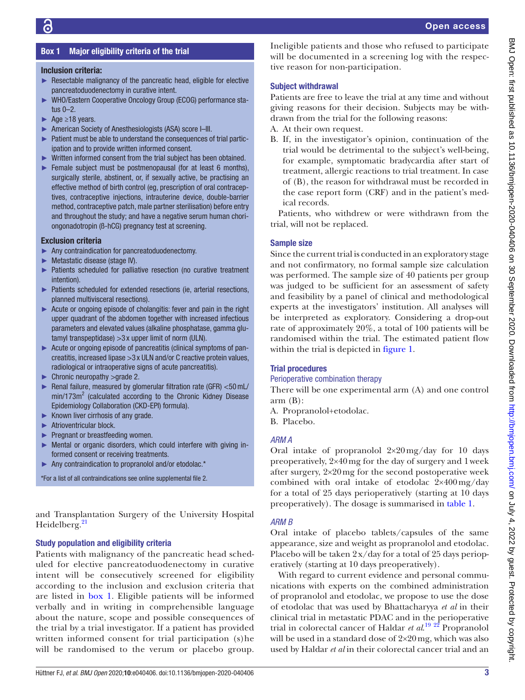## Box 1 Major eligibility criteria of the trial

## <span id="page-2-0"></span>Inclusion criteria:

- $\blacktriangleright$  Resectable malignancy of the pancreatic head, eligible for elective pancreatoduodenectomy in curative intent.
- ► WHO/Eastern Cooperative Oncology Group (ECOG) performance status 0–2.
- $\rightharpoonup$  Age  $\geq$ 18 years.
- ► American Society of Anesthesiologists (ASA) score I–III.
- ► Patient must be able to understand the consequences of trial participation and to provide written informed consent.
- ► Written informed consent from the trial subject has been obtained.
- ► Female subject must be postmenopausal (for at least 6 months), surgically sterile, abstinent, or, if sexually active, be practising an effective method of birth control (eg, prescription of oral contraceptives, contraceptive injections, intrauterine device, double-barrier method, contraceptive patch, male partner sterilisation) before entry and throughout the study; and have a negative serum human choriongonadotropin (ß-hCG) pregnancy test at screening.

## Exclusion criteria

- ► Any contraindication for pancreatoduodenectomy.
- ► Metastatic disease (stage IV).
- ► Patients scheduled for palliative resection (no curative treatment intention).
- ► Patients scheduled for extended resections (ie, arterial resections, planned multivisceral resections).
- ► Acute or ongoing episode of cholangitis: fever and pain in the right upper quadrant of the abdomen together with increased infectious parameters and elevated values (alkaline phosphatase, gamma glutamyl transpeptidase) >3 x upper limit of norm (ULN).
- ► Acute or ongoing episode of pancreatitis (clinical symptoms of pancreatitis, increased lipase >3 x ULN and/or C reactive protein values, radiological or intraoperative signs of acute pancreatitis).
- ► Chronic neuropathy >grade 2.
- ► Renal failure, measured by glomerular filtration rate (GFR) <50 mL/  $min/173m<sup>2</sup>$  (calculated according to the Chronic Kidney Disease Epidemiology Collaboration (CKD-EPI) formula).
- $\blacktriangleright$  Known liver cirrhosis of any grade.
- ► Atrioventricular block.
- ► Pregnant or breastfeeding women.
- ► Mental or organic disorders, which could interfere with giving informed consent or receiving treatments.
- Any contraindication to propranolol and/or etodolac.\*

\*For a list of all contraindications see [online supplemental file 2.](https://dx.doi.org/10.1136/bmjopen-2020-040406)

and Transplantation Surgery of the University Hospital Heidelberg.<sup>21</sup>

## Study population and eligibility criteria

Patients with malignancy of the pancreatic head scheduled for elective pancreatoduodenectomy in curative intent will be consecutively screened for eligibility according to the inclusion and exclusion criteria that are listed in [box](#page-2-0) 1. Eligible patients will be informed verbally and in writing in comprehensible language about the nature, scope and possible consequences of the trial by a trial investigator. If a patient has provided written informed consent for trial participation (s)he will be randomised to the verum or placebo group.

Ineligible patients and those who refused to participate will be documented in a screening log with the respective reason for non-participation.

## Subject withdrawal

Patients are free to leave the trial at any time and without giving reasons for their decision. Subjects may be withdrawn from the trial for the following reasons:

A. At their own request.

B. If, in the investigator's opinion, continuation of the trial would be detrimental to the subject's well-being, for example, symptomatic bradycardia after start of treatment, allergic reactions to trial treatment. In case of (B), the reason for withdrawal must be recorded in the case report form (CRF) and in the patient's medical records.

Patients, who withdrew or were withdrawn from the trial, will not be replaced.

## Sample size

Since the current trial is conducted in an exploratory stage and not confirmatory, no formal sample size calculation was performed. The sample size of 40 patients per group was judged to be sufficient for an assessment of safety and feasibility by a panel of clinical and methodological experts at the investigators' institution. All analyses will be interpreted as exploratory. Considering a drop-out rate of approximately 20%, a total of 100 patients will be randomised within the trial. The estimated patient flow within the trial is depicted in [figure](#page-3-0) 1.

## Trial procedures

## Perioperative combination therapy

There will be one experimental arm (A) and one control arm (B):

- A. Propranolol+etodolac.
- B. Placebo.

## *ARM A*

Oral intake of propranolol 2×20mg/day for 10 days preoperatively, 2×40mg for the day of surgery and 1week after surgery, 2×20mg for the second postoperative week combined with oral intake of etodolac 2×400mg/day for a total of 25 days perioperatively (starting at 10 days preoperatively). The dosage is summarised in [table](#page-4-0) 1.

## *ARM B*

Oral intake of placebo tablets/capsules of the same appearance, size and weight as propranolol and etodolac. Placebo will be taken 2x/day for a total of 25 days perioperatively (starting at 10 days preoperatively).

With regard to current evidence and personal communications with experts on the combined administration of propranolol and etodolac, we propose to use the dose of etodolac that was used by Bhattacharyya *et al* in their clinical trial in metastatic PDAC and in the perioperative trial in colorectal cancer of Haldar *et al*. [19](#page-8-12) [22](#page-8-15) Propranolol will be used in a standard dose of 2×20mg, which was also used by Haldar *et al* in their colorectal cancer trial and an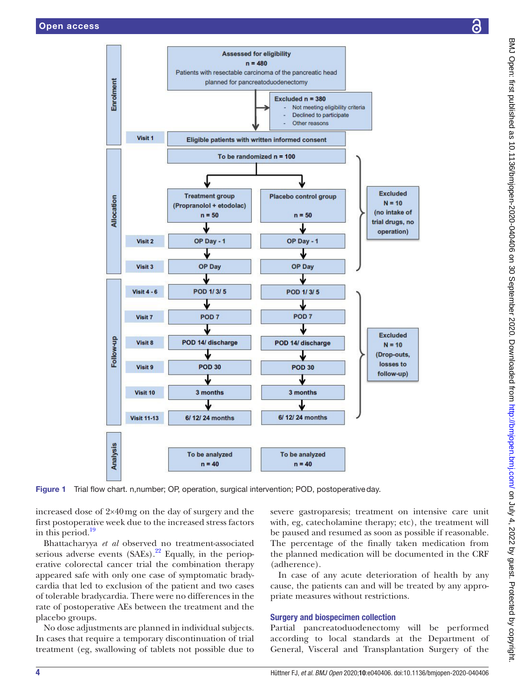

Figure 1 Trial flow chart. n,number; OP, operation, surgical intervention; POD, postoperativeday.

increased dose of 2×40mg on the day of surgery and the first postoperative week due to the increased stress factors in this period. $19$ 

Bhattacharyya *et al* observed no treatment-associated serious adverse events  $(SAEs).^{22}$  Equally, in the perioperative colorectal cancer trial the combination therapy appeared safe with only one case of symptomatic bradycardia that led to exclusion of the patient and two cases of tolerable bradycardia. There were no differences in the rate of postoperative AEs between the treatment and the placebo groups.

No dose adjustments are planned in individual subjects. In cases that require a temporary discontinuation of trial treatment (eg, swallowing of tablets not possible due to

<span id="page-3-0"></span>severe gastroparesis; treatment on intensive care unit with, eg, catecholamine therapy; etc), the treatment will be paused and resumed as soon as possible if reasonable. The percentage of the finally taken medication from the planned medication will be documented in the CRF (adherence).

In case of any acute deterioration of health by any cause, the patients can and will be treated by any appropriate measures without restrictions.

## Surgery and biospecimen collection

Partial pancreatoduodenectomy will be performed according to local standards at the Department of General, Visceral and Transplantation Surgery of the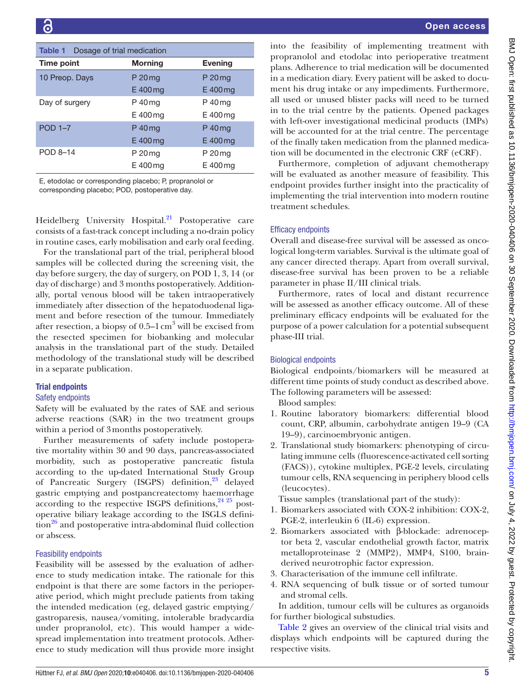<span id="page-4-0"></span>

| Dosage of trial medication<br><b>Table 1</b> |                |                |  |  |  |  |
|----------------------------------------------|----------------|----------------|--|--|--|--|
| Time point                                   | <b>Morning</b> | <b>Evening</b> |  |  |  |  |
| 10 Preop. Days                               | P 20 mg        | P 20 mg        |  |  |  |  |
|                                              | $E$ 400 $mg$   | $E$ 400 $mg$   |  |  |  |  |
| Day of surgery                               | P 40 mg        | P 40 mg        |  |  |  |  |
|                                              | E 400 mg       | E 400 mg       |  |  |  |  |
| <b>POD 1-7</b>                               | P 40 mg        | P 40 mg        |  |  |  |  |
|                                              | E 400 mg       | $E$ 400 $mg$   |  |  |  |  |
| POD 8-14                                     | P 20 mg        | P 20 mg        |  |  |  |  |
|                                              | E 400 mg       | E 400 mg       |  |  |  |  |

E, etodolac or corresponding placebo; P, propranolol or corresponding placebo; POD, postoperative day.

Heidelberg University Hospital.<sup>21</sup> Postoperative care consists of a fast-track concept including a no-drain policy in routine cases, early mobilisation and early oral feeding.

For the translational part of the trial, peripheral blood samples will be collected during the screening visit, the day before surgery, the day of surgery, on POD 1, 3, 14 (or day of discharge) and 3 months postoperatively. Additionally, portal venous blood will be taken intraoperatively immediately after dissection of the hepatoduodenal ligament and before resection of the tumour. Immediately after resection, a biopsy of  $0.5-1 \text{ cm}^3$  will be excised from the resected specimen for biobanking and molecular analysis in the translational part of the study. Detailed methodology of the translational study will be described in a separate publication.

# Trial endpoints

## Safety endpoints

Safety will be evaluated by the rates of SAE and serious adverse reactions (SAR) in the two treatment groups within a period of 3months postoperatively.

Further measurements of safety include postoperative mortality within 30 and 90 days, pancreas-associated morbidity, such as postoperative pancreatic fistula according to the up-dated International Study Group of Pancreatic Surgery (ISGPS) definition,<sup>[23](#page-8-16)</sup> delayed gastric emptying and postpancreatectomy haemorrhage according to the respective ISGPS definitions,  $24\frac{25}{12}$  postoperative biliary leakage according to the ISGLS defini- $\frac{1}{26}$  and postoperative intra-abdominal fluid collection or abscess.

# Feasibility endpoints

Feasibility will be assessed by the evaluation of adherence to study medication intake. The rationale for this endpoint is that there are some factors in the perioperative period, which might preclude patients from taking the intended medication (eg, delayed gastric emptying/ gastroparesis, nausea/vomiting, intolerable bradycardia under propranolol, etc). This would hamper a widespread implementation into treatment protocols. Adherence to study medication will thus provide more insight

into the feasibility of implementing treatment with propranolol and etodolac into perioperative treatment plans. Adherence to trial medication will be documented in a medication diary. Every patient will be asked to document his drug intake or any impediments. Furthermore, all used or unused blister packs will need to be turned in to the trial centre by the patients. Opened packages with left-over investigational medicinal products (IMPs) will be accounted for at the trial centre. The percentage of the finally taken medication from the planned medication will be documented in the electronic CRF (eCRF).

Furthermore, completion of adjuvant chemotherapy will be evaluated as another measure of feasibility. This endpoint provides further insight into the practicality of implementing the trial intervention into modern routine treatment schedules.

## Efficacy endpoints

Overall and disease-free survival will be assessed as oncological long-term variables. Survival is the ultimate goal of any cancer directed therapy. Apart from overall survival, disease-free survival has been proven to be a reliable parameter in phase II/III clinical trials.

Furthermore, rates of local and distant recurrence will be assessed as another efficacy outcome. All of these preliminary efficacy endpoints will be evaluated for the purpose of a power calculation for a potential subsequent phase-III trial.

## Biological endpoints

Biological endpoints/biomarkers will be measured at different time points of study conduct as described above. The following parameters will be assessed:

Blood samples:

- 1. Routine laboratory biomarkers: differential blood count, CRP, albumin, carbohydrate antigen 19–9 (CA 19–9), carcinoembryonic antigen.
- 2. Translational study biomarkers: phenotyping of circulating immune cells (fluorescence-activated cell sorting (FACS)), cytokine multiplex, PGE-2 levels, circulating tumour cells, RNA sequencing in periphery blood cells (leucocytes).

Tissue samples (translational part of the study):

- 1. Biomarkers associated with COX-2 inhibition: COX-2, PGE-2, interleukin 6 (IL-6) expression.
- 2. Biomarkers associated with β-blockade: adrenoceptor beta 2, vascular endothelial growth factor, matrix metalloproteinase 2 (MMP2), MMP4, S100, brainderived neurotrophic factor expression.
- 3. Characterisation of the immune cell infiltrate.
- 4. RNA sequencing of bulk tissue or of sorted tumour and stromal cells.

In addition, tumour cells will be cultures as organoids for further biological substudies.

[Table](#page-5-0) 2 gives an overview of the clinical trial visits and displays which endpoints will be captured during the respective visits.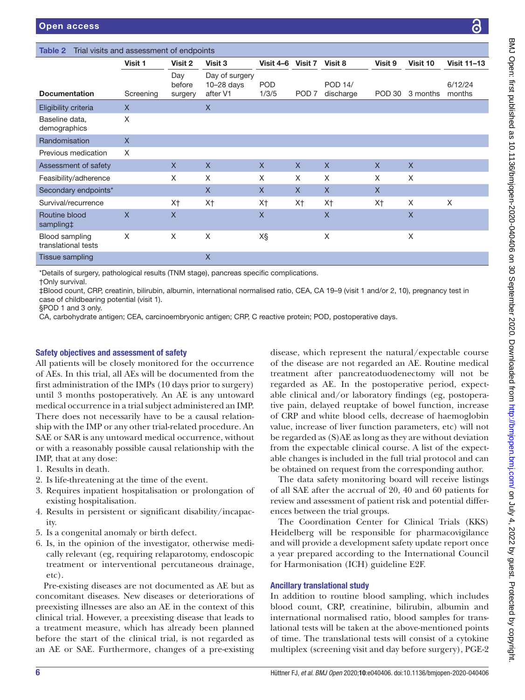Documentation

Baseline data, demographics

<span id="page-5-0"></span>Table 2 Trial visits and as

Eligibility criteria X X

|                         |                          |                                            |                           |                  |                      |         |          | 6                  |
|-------------------------|--------------------------|--------------------------------------------|---------------------------|------------------|----------------------|---------|----------|--------------------|
| assessment of endpoints |                          |                                            |                           |                  |                      |         |          |                    |
| Visit 1                 | Visit 2                  | Visit 3                                    | Visit 4-6 Visit 7 Visit 8 |                  |                      | Visit 9 | Visit 10 | <b>Visit 11-13</b> |
| Screening               | Day<br>before<br>surgery | Day of surgery<br>$10-28$ days<br>after V1 | <b>POD</b><br>1/3/5       | POD <sub>7</sub> | POD 14/<br>discharge | POD 30  | 3 months | 6/12/24<br>months  |
| X                       |                          | X                                          |                           |                  |                      |         |          |                    |
| X                       |                          |                                            |                           |                  |                      |         |          |                    |
| $\mathsf{X}$            |                          |                                            |                           |                  |                      |         |          |                    |

| <b>Randomisation</b>                  | ∧ |                |                   |                |          |                |                |   |   |
|---------------------------------------|---|----------------|-------------------|----------------|----------|----------------|----------------|---|---|
| Previous medication                   | X |                |                   |                |          |                |                |   |   |
| Assessment of safety                  |   | X              | $\times$          | $\mathsf{X}$   | $\times$ | $\mathsf{X}$   | X              | X |   |
| Feasibility/adherence                 |   | X              | X                 | X              | X        | X              | X              | X |   |
| Secondary endpoints*                  |   |                | $\times$          | X              | $\times$ | X              | X              |   |   |
| Survival/recurrence                   |   | X <sup>†</sup> | X <sub>†</sub>    | X <sup>+</sup> | X†       | X <sup>†</sup> | X <sup>†</sup> | X | X |
| Routine blood<br>sampling#            | X | X              |                   | X              |          | X              |                | ⋏ |   |
| Blood sampling<br>translational tests | X | X              | X                 | X§             |          | Χ              |                | ⋏ |   |
| Tissue sampling                       |   |                | $\checkmark$<br>∧ |                |          |                |                |   |   |

\*Details of surgery, pathological results (TNM stage), pancreas specific complications.

†Only survival.

‡Blood count, CRP, creatinin, bilirubin, albumin, international normalised ratio, CEA, CA 19–9 (visit 1 and/or 2, 10), pregnancy test in case of childbearing potential (visit 1).

§POD 1 and 3 only.

CA, carbohydrate antigen; CEA, carcinoembryonic antigen; CRP, C reactive protein; POD, postoperative days.

## Safety objectives and assessment of safety

All patients will be closely monitored for the occurrence of AEs. In this trial, all AEs will be documented from the first administration of the IMPs (10 days prior to surgery) until 3 months postoperatively. An AE is any untoward medical occurrence in a trial subject administered an IMP. There does not necessarily have to be a causal relationship with the IMP or any other trial-related procedure. An SAE or SAR is any untoward medical occurrence, without or with a reasonably possible causal relationship with the IMP, that at any dose:

- 1. Results in death.
- 2. Is life-threatening at the time of the event.
- 3. Requires inpatient hospitalisation or prolongation of existing hospitalisation.
- 4. Results in persistent or significant disability/incapacity.
- 5. Is a congenital anomaly or birth defect.
- 6. Is, in the opinion of the investigator, otherwise medically relevant (eg, requiring relaparotomy, endoscopic treatment or interventional percutaneous drainage, etc).

Pre-existing diseases are not documented as AE but as concomitant diseases. New diseases or deteriorations of preexisting illnesses are also an AE in the context of this clinical trial. However, a preexisting disease that leads to a treatment measure, which has already been planned before the start of the clinical trial, is not regarded as an AE or SAE. Furthermore, changes of a pre-existing

disease, which represent the natural/expectable course of the disease are not regarded an AE. Routine medical treatment after pancreatoduodenectomy will not be regarded as AE. In the postoperative period, expectable clinical and/or laboratory findings (eg, postoperative pain, delayed reuptake of bowel function, increase of CRP and white blood cells, decrease of haemoglobin value, increase of liver function parameters, etc) will not be regarded as (S)AE as long as they are without deviation from the expectable clinical course. A list of the expectable changes is included in the full trial protocol and can be obtained on request from the corresponding author.

The data safety monitoring board will receive listings of all SAE after the accrual of 20, 40 and 60 patients for review and assessment of patient risk and potential differences between the trial groups.

The Coordination Center for Clinical Trials (KKS) Heidelberg will be responsible for pharmacovigilance and will provide a development safety update report once a year prepared according to the International Council for Harmonisation (ICH) guideline E2F.

## Ancillary translational study

In addition to routine blood sampling, which includes blood count, CRP, creatinine, bilirubin, albumin and international normalised ratio, blood samples for translational tests will be taken at the above-mentioned points of time. The translational tests will consist of a cytokine multiplex (screening visit and day before surgery), PGE-2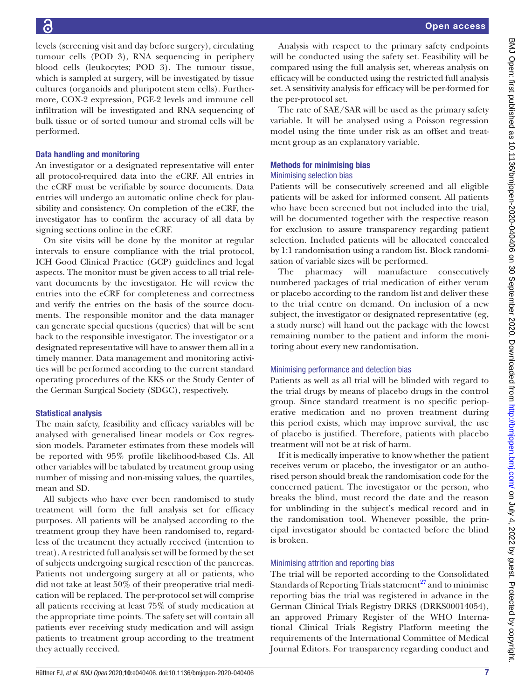levels (screening visit and day before surgery), circulating tumour cells (POD 3), RNA sequencing in periphery blood cells (leukocytes; POD 3). The tumour tissue, which is sampled at surgery, will be investigated by tissue cultures (organoids and pluripotent stem cells). Furthermore, COX-2 expression, PGE-2 levels and immune cell infiltration will be investigated and RNA sequencing of bulk tissue or of sorted tumour and stromal cells will be performed.

## Data handling and monitoring

An investigator or a designated representative will enter all protocol-required data into the eCRF. All entries in the eCRF must be verifiable by source documents. Data entries will undergo an automatic online check for plausibility and consistency. On completion of the eCRF, the investigator has to confirm the accuracy of all data by signing sections online in the eCRF.

On site visits will be done by the monitor at regular intervals to ensure compliance with the trial protocol, ICH Good Clinical Practice (GCP) guidelines and legal aspects. The monitor must be given access to all trial relevant documents by the investigator. He will review the entries into the eCRF for completeness and correctness and verify the entries on the basis of the source documents. The responsible monitor and the data manager can generate special questions (queries) that will be sent back to the responsible investigator. The investigator or a designated representative will have to answer them all in a timely manner. Data management and monitoring activities will be performed according to the current standard operating procedures of the KKS or the Study Center of the German Surgical Society (SDGC), respectively.

## Statistical analysis

The main safety, feasibility and efficacy variables will be analysed with generalised linear models or Cox regression models. Parameter estimates from these models will be reported with 95% profile likelihood-based CIs. All other variables will be tabulated by treatment group using number of missing and non-missing values, the quartiles, mean and SD.

All subjects who have ever been randomised to study treatment will form the full analysis set for efficacy purposes. All patients will be analysed according to the treatment group they have been randomised to, regardless of the treatment they actually received (intention to treat). A restricted full analysis set will be formed by the set of subjects undergoing surgical resection of the pancreas. Patients not undergoing surgery at all or patients, who did not take at least 50% of their preoperative trial medication will be replaced. The per-protocol set will comprise all patients receiving at least 75% of study medication at the appropriate time points. The safety set will contain all patients ever receiving study medication and will assign patients to treatment group according to the treatment they actually received.

Analysis with respect to the primary safety endpoints will be conducted using the safety set. Feasibility will be compared using the full analysis set, whereas analysis on efficacy will be conducted using the restricted full analysis set. A sensitivity analysis for efficacy will be per-formed for the per-protocol set.

The rate of SAE/SAR will be used as the primary safety variable. It will be analysed using a Poisson regression model using the time under risk as an offset and treatment group as an explanatory variable.

## Methods for minimising bias

## Minimising selection bias

Patients will be consecutively screened and all eligible patients will be asked for informed consent. All patients who have been screened but not included into the trial, will be documented together with the respective reason for exclusion to assure transparency regarding patient selection. Included patients will be allocated concealed by 1:1 randomisation using a random list. Block randomisation of variable sizes will be performed.

The pharmacy will manufacture consecutively numbered packages of trial medication of either verum or placebo according to the random list and deliver these to the trial centre on demand. On inclusion of a new subject, the investigator or designated representative (eg, a study nurse) will hand out the package with the lowest remaining number to the patient and inform the monitoring about every new randomisation.

## Minimising performance and detection bias

Patients as well as all trial will be blinded with regard to the trial drugs by means of placebo drugs in the control group. Since standard treatment is no specific perioperative medication and no proven treatment during this period exists, which may improve survival, the use of placebo is justified. Therefore, patients with placebo treatment will not be at risk of harm.

If it is medically imperative to know whether the patient receives verum or placebo, the investigator or an authorised person should break the randomisation code for the concerned patient. The investigator or the person, who breaks the blind, must record the date and the reason for unblinding in the subject's medical record and in the randomisation tool. Whenever possible, the principal investigator should be contacted before the blind is broken.

## Minimising attrition and reporting bias

The trial will be reported according to the Consolidated Standards of Reporting Trials statement<sup>27</sup> and to minimise reporting bias the trial was registered in advance in the German Clinical Trials Registry DRKS (DRKS00014054), an approved Primary Register of the WHO International Clinical Trials Registry Platform meeting the requirements of the International Committee of Medical Journal Editors. For transparency regarding conduct and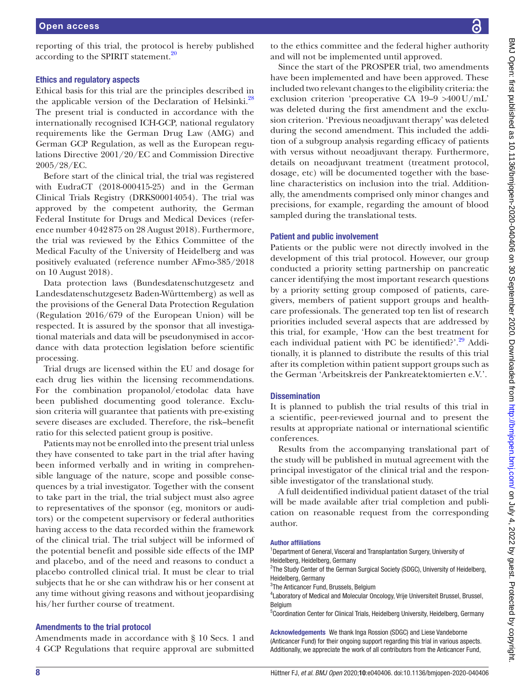reporting of this trial, the protocol is hereby published according to the SPIRIT statement.<sup>[20](#page-8-13)</sup>

## Ethics and regulatory aspects

Ethical basis for this trial are the principles described in the applicable version of the Declaration of Helsinki.<sup>[28](#page-8-20)</sup> The present trial is conducted in accordance with the internationally recognised ICH-GCP, national regulatory requirements like the German Drug Law (AMG) and German GCP Regulation, as well as the European regulations Directive 2001/20/EC and Commission Directive 2005/28/EC.

Before start of the clinical trial, the trial was registered with EudraCT (2018-000415-25) and in the German Clinical Trials Registry (DRKS00014054). The trial was approved by the competent authority, the German Federal Institute for Drugs and Medical Devices (reference number 4042875 on 28 August 2018). Furthermore, the trial was reviewed by the Ethics Committee of the Medical Faculty of the University of Heidelberg and was positively evaluated (reference number AFmo-385/2018 on 10 August 2018).

Data protection laws (Bundesdatenschutzgesetz and Landesdatenschutzgesetz Baden-Württemberg) as well as the provisions of the General Data Protection Regulation (Regulation 2016/679 of the European Union) will be respected. It is assured by the sponsor that all investigational materials and data will be pseudonymised in accordance with data protection legislation before scientific processing.

Trial drugs are licensed within the EU and dosage for each drug lies within the licensing recommendations. For the combination propanolol/etodolac data have been published documenting good tolerance. Exclusion criteria will guarantee that patients with pre-existing severe diseases are excluded. Therefore, the risk–benefit ratio for this selected patient group is positive.

Patients may not be enrolled into the present trial unless they have consented to take part in the trial after having been informed verbally and in writing in comprehensible language of the nature, scope and possible consequences by a trial investigator. Together with the consent to take part in the trial, the trial subject must also agree to representatives of the sponsor (eg, monitors or auditors) or the competent supervisory or federal authorities having access to the data recorded within the framework of the clinical trial. The trial subject will be informed of the potential benefit and possible side effects of the IMP and placebo, and of the need and reasons to conduct a placebo controlled clinical trial. It must be clear to trial subjects that he or she can withdraw his or her consent at any time without giving reasons and without jeopardising his/her further course of treatment.

## Amendments to the trial protocol

Amendments made in accordance with § 10 Secs. 1 and 4 GCP Regulations that require approval are submitted

to the ethics committee and the federal higher authority and will not be implemented until approved.

Since the start of the PROSPER trial, two amendments have been implemented and have been approved. These included two relevant changes to the eligibility criteria: the exclusion criterion 'preoperative CA 19–9 >400U/mL' was deleted during the first amendment and the exclusion criterion. 'Previous neoadjuvant therapy' was deleted during the second amendment. This included the addition of a subgroup analysis regarding efficacy of patients with versus without neoadjuvant therapy. Furthermore, details on neoadjuvant treatment (treatment protocol, dosage, etc) will be documented together with the baseline characteristics on inclusion into the trial. Additionally, the amendments comprised only minor changes and precisions, for example, regarding the amount of blood sampled during the translational tests.

## Patient and public involvement

Patients or the public were not directly involved in the development of this trial protocol. However, our group conducted a priority setting partnership on pancreatic cancer identifying the most important research questions by a priority setting group composed of patients, caregivers, members of patient support groups and healthcare professionals. The generated top ten list of research priorities included several aspects that are addressed by this trial, for example, 'How can the best treatment for each individual patient with PC be identified?'.<sup>[29](#page-8-21)</sup> Additionally, it is planned to distribute the results of this trial after its completion within patient support groups such as the German 'Arbeitskreis der Pankreatektomierten e.V.'.

## **Dissemination**

It is planned to publish the trial results of this trial in a scientific, peer-reviewed journal and to present the results at appropriate national or international scientific conferences.

Results from the accompanying translational part of the study will be published in mutual agreement with the principal investigator of the clinical trial and the responsible investigator of the translational study.

A full deidentified individual patient dataset of the trial will be made available after trial completion and publication on reasonable request from the corresponding author.

## Author affiliations

<sup>1</sup>Department of General, Visceral and Transplantation Surgery, University of Heidelberg, Heidelberg, Germany

<sup>2</sup>The Study Center of the German Surgical Society (SDGC), University of Heidelberg, Heidelberg, Germany

<sup>3</sup>The Anticancer Fund, Brussels, Belgium

<sup>4</sup> Laboratory of Medical and Molecular Oncology, Vrije Universiteit Brussel, Brussel, Belgium

<sup>5</sup>Coordination Center for Clinical Trials, Heidelberg University, Heidelberg, Germany

Acknowledgements We thank Inga Rossion (SDGC) and Liese Vandeborne (Anticancer Fund) for their ongoing support regarding this trial in various aspects. Additionally, we appreciate the work of all contributors from the Anticancer Fund,